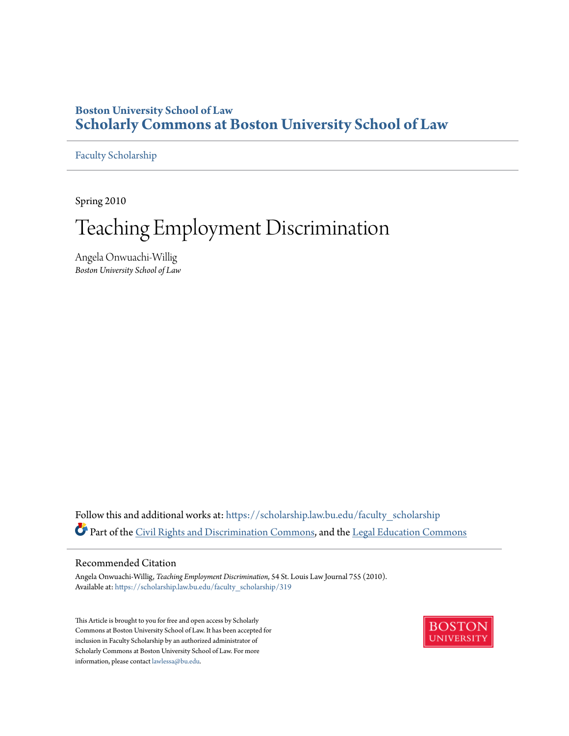# **Boston University School of Law [Scholarly Commons at Boston University School of Law](https://scholarship.law.bu.edu?utm_source=scholarship.law.bu.edu%2Ffaculty_scholarship%2F319&utm_medium=PDF&utm_campaign=PDFCoverPages)**

[Faculty Scholarship](https://scholarship.law.bu.edu/faculty_scholarship?utm_source=scholarship.law.bu.edu%2Ffaculty_scholarship%2F319&utm_medium=PDF&utm_campaign=PDFCoverPages)

Spring 2010

# Teaching Employment Discrimination

Angela Onwuachi-Willig *Boston University School of Law*

Follow this and additional works at: [https://scholarship.law.bu.edu/faculty\\_scholarship](https://scholarship.law.bu.edu/faculty_scholarship?utm_source=scholarship.law.bu.edu%2Ffaculty_scholarship%2F319&utm_medium=PDF&utm_campaign=PDFCoverPages) Part of the [Civil Rights and Discrimination Commons,](http://network.bepress.com/hgg/discipline/585?utm_source=scholarship.law.bu.edu%2Ffaculty_scholarship%2F319&utm_medium=PDF&utm_campaign=PDFCoverPages) and the [Legal Education Commons](http://network.bepress.com/hgg/discipline/857?utm_source=scholarship.law.bu.edu%2Ffaculty_scholarship%2F319&utm_medium=PDF&utm_campaign=PDFCoverPages)

# Recommended Citation

Angela Onwuachi-Willig, *Teaching Employment Discrimination*, 54 St. Louis Law Journal 755 (2010). Available at: [https://scholarship.law.bu.edu/faculty\\_scholarship/319](https://scholarship.law.bu.edu/faculty_scholarship/319?utm_source=scholarship.law.bu.edu%2Ffaculty_scholarship%2F319&utm_medium=PDF&utm_campaign=PDFCoverPages)

This Article is brought to you for free and open access by Scholarly Commons at Boston University School of Law. It has been accepted for inclusion in Faculty Scholarship by an authorized administrator of Scholarly Commons at Boston University School of Law. For more information, please contact [lawlessa@bu.edu.](mailto:lawlessa@bu.edu)

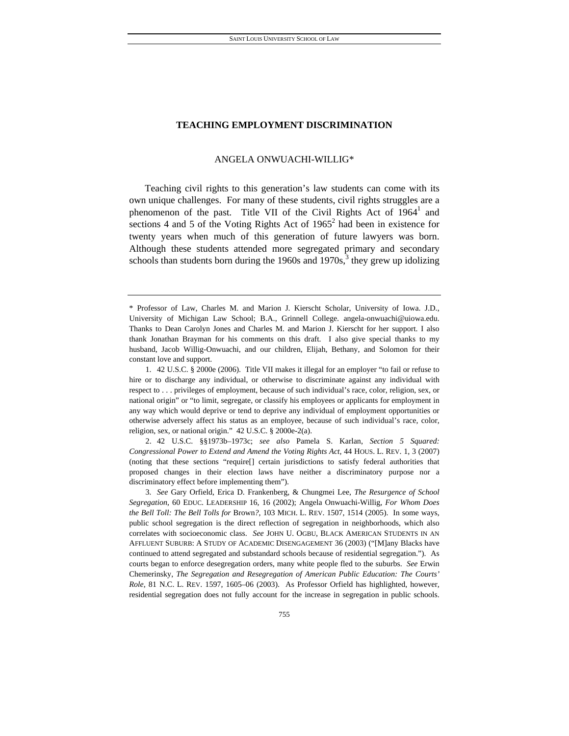# ANGELA ONWUACHI-WILLIG\*

Teaching civil rights to this generation's law students can come with its own unique challenges. For many of these students, civil rights struggles are a phenomenon of the past. Title VII of the Civil Rights Act of  $1964<sup>1</sup>$  and sections 4 and 5 of the Voting Rights Act of  $1965<sup>2</sup>$  had been in existence for twenty years when much of this generation of future lawyers was born. Although these students attended more segregated primary and secondary schools than students born during the 1960s and  $1970s<sup>3</sup>$ , they grew up idolizing

 2. 42 U.S.C. §§1973b–1973c; *see also* Pamela S. Karlan, *Section 5 Squared: Congressional Power to Extend and Amend the Voting Rights Act*, 44 HOUS. L. REV. 1, 3 (2007) (noting that these sections "require[] certain jurisdictions to satisfy federal authorities that proposed changes in their election laws have neither a discriminatory purpose nor a discriminatory effect before implementing them").

<sup>\*</sup> Professor of Law, Charles M. and Marion J. Kierscht Scholar, University of Iowa. J.D., University of Michigan Law School; B.A., Grinnell College. angela-onwuachi@uiowa.edu. Thanks to Dean Carolyn Jones and Charles M. and Marion J. Kierscht for her support. I also thank Jonathan Brayman for his comments on this draft. I also give special thanks to my husband, Jacob Willig-Onwuachi, and our children, Elijah, Bethany, and Solomon for their constant love and support.

 <sup>1. 42</sup> U.S.C. § 2000e (2006). Title VII makes it illegal for an employer "to fail or refuse to hire or to discharge any individual, or otherwise to discriminate against any individual with respect to . . . privileges of employment, because of such individual's race, color, religion, sex, or national origin" or "to limit, segregate, or classify his employees or applicants for employment in any way which would deprive or tend to deprive any individual of employment opportunities or otherwise adversely affect his status as an employee, because of such individual's race, color, religion, sex, or national origin." 42 U.S.C. § 2000e-2(a).

<sup>3</sup>*. See* Gary Orfield, Erica D. Frankenberg, & Chungmei Lee, *The Resurgence of School Segregation*, 60 EDUC. LEADERSHIP 16, 16 (2002); Angela Onwuachi-Willig, *For Whom Does the Bell Toll: The Bell Tolls for* Brown*?*, 103 MICH. L. REV. 1507, 1514 (2005). In some ways, public school segregation is the direct reflection of segregation in neighborhoods, which also correlates with socioeconomic class. *See* JOHN U. OGBU, BLACK AMERICAN STUDENTS IN AN AFFLUENT SUBURB: A STUDY OF ACADEMIC DISENGAGEMENT 36 (2003) ("[M]any Blacks have continued to attend segregated and substandard schools because of residential segregation."). As courts began to enforce desegregation orders, many white people fled to the suburbs. *See* Erwin Chemerinsky, *The Segregation and Resegregation of American Public Education: The Courts' Role*, 81 N.C. L. REV. 1597, 1605–06 (2003). As Professor Orfield has highlighted, however, residential segregation does not fully account for the increase in segregation in public schools.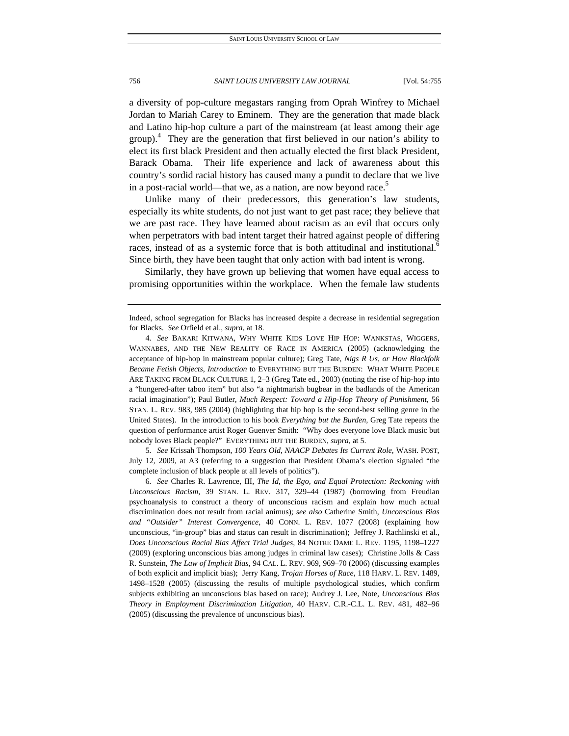a diversity of pop-culture megastars ranging from Oprah Winfrey to Michael Jordan to Mariah Carey to Eminem. They are the generation that made black and Latino hip-hop culture a part of the mainstream (at least among their age group). $4$  They are the generation that first believed in our nation's ability to elect its first black President and then actually elected the first black President, Barack Obama. Their life experience and lack of awareness about this country's sordid racial history has caused many a pundit to declare that we live in a post-racial world—that we, as a nation, are now beyond race.<sup>5</sup>

Unlike many of their predecessors, this generation's law students, especially its white students, do not just want to get past race; they believe that we are past race. They have learned about racism as an evil that occurs only when perpetrators with bad intent target their hatred against people of differing races, instead of as a systemic force that is both attitudinal and institutional.<sup>6</sup> Since birth, they have been taught that only action with bad intent is wrong.

Similarly, they have grown up believing that women have equal access to promising opportunities within the workplace. When the female law students

5*. See* Krissah Thompson, *100 Years Old, NAACP Debates Its Current Role*, WASH. POST, July 12, 2009, at A3 (referring to a suggestion that President Obama's election signaled "the complete inclusion of black people at all levels of politics").

6*. See* Charles R. Lawrence, III, *The Id, the Ego, and Equal Protection: Reckoning with Unconscious Racism*, 39 STAN. L. REV. 317, 329–44 (1987) (borrowing from Freudian psychoanalysis to construct a theory of unconscious racism and explain how much actual discrimination does not result from racial animus); *see also* Catherine Smith, *Unconscious Bias and "Outsider" Interest Convergence*, 40 CONN. L. REV. 1077 (2008) (explaining how unconscious, "in-group" bias and status can result in discrimination); Jeffrey J. Rachlinski et al., *Does Unconscious Racial Bias Affect Trial Judges*, 84 NOTRE DAME L. REV. 1195, 1198–1227 (2009) (exploring unconscious bias among judges in criminal law cases); Christine Jolls & Cass R. Sunstein, *The Law of Implicit Bias*, 94 CAL. L. REV. 969, 969–70 (2006) (discussing examples of both explicit and implicit bias); Jerry Kang, *Trojan Horses of Race*, 118 HARV. L. REV. 1489, 1498–1528 (2005) (discussing the results of multiple psychological studies, which confirm subjects exhibiting an unconscious bias based on race); Audrey J. Lee, Note, *Unconscious Bias Theory in Employment Discrimination Litigation*, 40 HARV. C.R.-C.L. L. REV. 481, 482–96 (2005) (discussing the prevalence of unconscious bias).

Indeed, school segregation for Blacks has increased despite a decrease in residential segregation for Blacks. *See* Orfield et al., *supra*, at 18.

<sup>4</sup>*. See* BAKARI KITWANA, WHY WHITE KIDS LOVE HIP HOP: WANKSTAS, WIGGERS, WANNABES, AND THE NEW REALITY OF RACE IN AMERICA (2005) (acknowledging the acceptance of hip-hop in mainstream popular culture); Greg Tate, *Nigs R Us, or How Blackfolk Became Fetish Objects*, *Introduction* to EVERYTHING BUT THE BURDEN: WHAT WHITE PEOPLE ARE TAKING FROM BLACK CULTURE 1, 2–3 (Greg Tate ed., 2003) (noting the rise of hip-hop into a "hungered-after taboo item" but also "a nightmarish bugbear in the badlands of the American racial imagination"); Paul Butler, *Much Respect: Toward a Hip-Hop Theory of Punishment*, 56 STAN. L. REV. 983, 985 (2004) (highlighting that hip hop is the second-best selling genre in the United States). In the introduction to his book *Everything but the Burden*, Greg Tate repeats the question of performance artist Roger Guenver Smith: "Why does everyone love Black music but nobody loves Black people?" EVERYTHING BUT THE BURDEN, *supra*, at 5.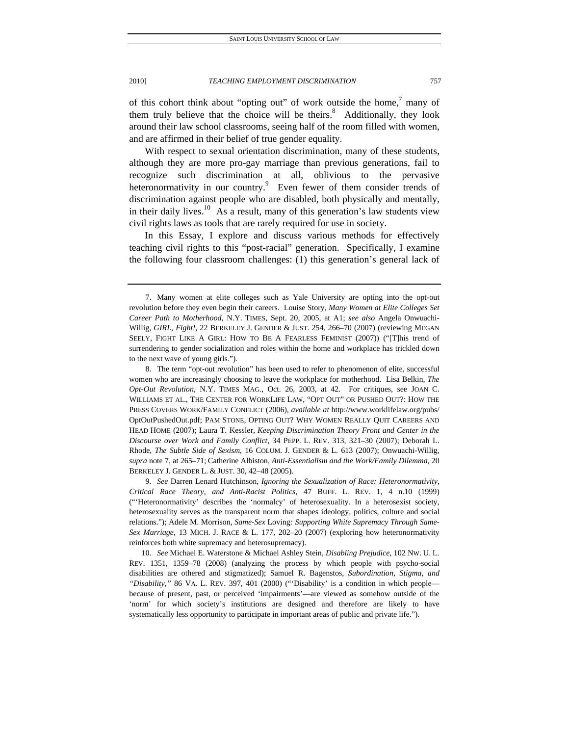of this cohort think about "opting out" of work outside the home, $\frac{7}{1}$  many of them truly believe that the choice will be theirs. $8$  Additionally, they look around their law school classrooms, seeing half of the room filled with women, and are affirmed in their belief of true gender equality.

With respect to sexual orientation discrimination, many of these students, although they are more pro-gay marriage than previous generations, fail to recognize such discrimination at all, oblivious to the pervasive heteronormativity in our country.<sup>9</sup> Even fewer of them consider trends of discrimination against people who are disabled, both physically and mentally, in their daily lives. $10$  As a result, many of this generation's law students view civil rights laws as tools that are rarely required for use in society.

In this Essay, I explore and discuss various methods for effectively teaching civil rights to this "post-racial" generation. Specifically, I examine the following four classroom challenges: (1) this generation's general lack of

 8. The term "opt-out revolution" has been used to refer to phenomenon of elite, successful women who are increasingly choosing to leave the workplace for motherhood. Lisa Belkin, *The Opt-Out Revolution*, N.Y. TIMES MAG., Oct. 26, 2003, at 42. For critiques, see JOAN C. WILLIAMS ET AL., THE CENTER FOR WORKLIFE LAW, "OPT OUT" OR PUSHED OUT?: HOW THE PRESS COVERS WORK/FAMILY CONFLICT (2006), *available at* http://www.worklifelaw.org/pubs/ OptOutPushedOut.pdf; PAM STONE, OPTING OUT? WHY WOMEN REALLY QUIT CAREERS AND HEAD HOME (2007); Laura T. Kessler, *Keeping Discrimination Theory Front and Center in the Discourse over Work and Family Conflict*, 34 PEPP. L. REV. 313, 321–30 (2007); Deborah L. Rhode, *The Subtle Side of Sexism*, 16 COLUM. J. GENDER & L. 613 (2007); Onwuachi-Willig, *supra* note 7, at 265–71; Catherine Albiston, *Anti-Essentialism and the Work/Family Dilemma*, 20 BERKELEY J. GENDER L. & JUST. 30, 42–48 (2005).

9*. See* Darren Lenard Hutchinson, *Ignoring the Sexualization of Race: Heteronormativity, Critical Race Theory, and Anti-Racist Politics*, 47 BUFF. L. REV. 1, 4 n.10 (1999) ("'Heteronormativity' describes the 'normalcy' of heterosexuality. In a heterosexist society, heterosexuality serves as the transparent norm that shapes ideology, politics, culture and social relations."); Adele M. Morrison, *Same-Sex* Loving*: Supporting White Supremacy Through Same-Sex Marriage*, 13 MICH. J. RACE & L. 177, 202–20 (2007) (exploring how heteronormativity reinforces both white supremacy and heterosupremacy).

 10. *See* Michael E. Waterstone & Michael Ashley Stein, *Disabling Prejudice*, 102 NW. U. L. REV. 1351, 1359–78 (2008) (analyzing the process by which people with psycho-social disabilities are othered and stigmatized); Samuel R. Bagenstos, *Subordination, Stigma, and "Disability*,*"* 86 VA. L. REV. 397, 401 (2000) ("'Disability' is a condition in which people because of present, past, or perceived 'impairments'—are viewed as somehow outside of the 'norm' for which society's institutions are designed and therefore are likely to have systematically less opportunity to participate in important areas of public and private life.").

 <sup>7.</sup> Many women at elite colleges such as Yale University are opting into the opt-out revolution before they even begin their careers. Louise Story, *Many Women at Elite Colleges Set Career Path to Motherhood*, N.Y. TIMES, Sept. 20, 2005, at A1; *see also* Angela Onwuachi-Willig, *GIRL, Fight!*, 22 BERKELEY J. GENDER & JUST. 254, 266–70 (2007) (reviewing MEGAN SEELY, FIGHT LIKE A GIRL: HOW TO BE A FEARLESS FEMINIST (2007)) ("[T]his trend of surrendering to gender socialization and roles within the home and workplace has trickled down to the next wave of young girls.").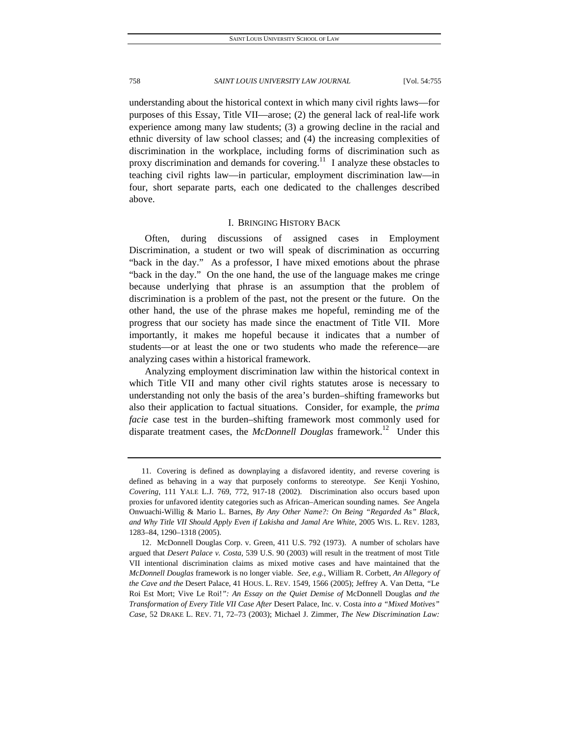understanding about the historical context in which many civil rights laws—for purposes of this Essay, Title VII—arose; (2) the general lack of real-life work experience among many law students; (3) a growing decline in the racial and ethnic diversity of law school classes; and (4) the increasing complexities of discrimination in the workplace, including forms of discrimination such as proxy discrimination and demands for covering.<sup>11</sup> I analyze these obstacles to teaching civil rights law—in particular, employment discrimination law—in four, short separate parts, each one dedicated to the challenges described above.

## I. BRINGING HISTORY BACK

Often, during discussions of assigned cases in Employment Discrimination, a student or two will speak of discrimination as occurring "back in the day." As a professor, I have mixed emotions about the phrase "back in the day." On the one hand, the use of the language makes me cringe because underlying that phrase is an assumption that the problem of discrimination is a problem of the past, not the present or the future. On the other hand, the use of the phrase makes me hopeful, reminding me of the progress that our society has made since the enactment of Title VII. More importantly, it makes me hopeful because it indicates that a number of students—or at least the one or two students who made the reference—are analyzing cases within a historical framework.

Analyzing employment discrimination law within the historical context in which Title VII and many other civil rights statutes arose is necessary to understanding not only the basis of the area's burden–shifting frameworks but also their application to factual situations. Consider, for example, the *prima facie* case test in the burden–shifting framework most commonly used for disparate treatment cases, the *McDonnell Douglas* framework.<sup>12</sup> Under this

 <sup>11.</sup> Covering is defined as downplaying a disfavored identity, and reverse covering is defined as behaving in a way that purposely conforms to stereotype. *See* Kenji Yoshino, *Covering*, 111 YALE L.J. 769, 772, 917-18 (2002). Discrimination also occurs based upon proxies for unfavored identity categories such as African–American sounding names. *See* Angela Onwuachi-Willig & Mario L. Barnes, *By Any Other Name?: On Being "Regarded As" Black, and Why Title VII Should Apply Even if Lakisha and Jamal Are White*, 2005 WIS. L. REV. 1283, 1283–84, 1290–1318 (2005).

 <sup>12.</sup> McDonnell Douglas Corp. v. Green, 411 U.S. 792 (1973). A number of scholars have argued that *Desert Palace v. Costa*, 539 U.S. 90 (2003) will result in the treatment of most Title VII intentional discrimination claims as mixed motive cases and have maintained that the *McDonnell Douglas* framework is no longer viable. *See, e.g.*, William R. Corbett, *An Allegory of the Cave and the* Desert Palace, 41 HOUS. L. REV. 1549, 1566 (2005); Jeffrey A. Van Detta, *"*Le Roi Est Mort; Vive Le Roi!*": An Essay on the Quiet Demise of* McDonnell Douglas *and the Transformation of Every Title VII Case After* Desert Palace, Inc. v. Costa *into a "Mixed Motives" Case*, 52 DRAKE L. REV. 71, 72–73 (2003); Michael J. Zimmer, *The New Discrimination Law:*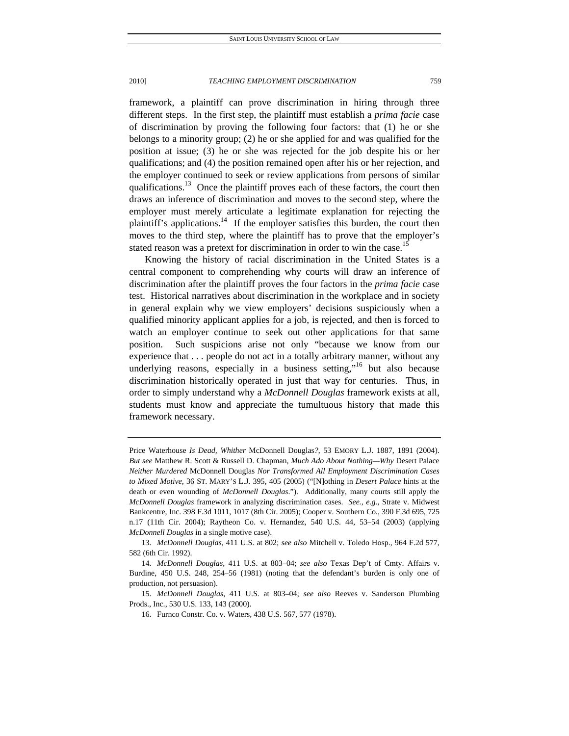framework, a plaintiff can prove discrimination in hiring through three different steps. In the first step, the plaintiff must establish a *prima facie* case of discrimination by proving the following four factors: that (1) he or she belongs to a minority group; (2) he or she applied for and was qualified for the position at issue; (3) he or she was rejected for the job despite his or her qualifications; and (4) the position remained open after his or her rejection, and the employer continued to seek or review applications from persons of similar qualifications.<sup>13</sup> Once the plaintiff proves each of these factors, the court then draws an inference of discrimination and moves to the second step, where the employer must merely articulate a legitimate explanation for rejecting the plaintiff's applications.<sup>14</sup> If the employer satisfies this burden, the court then moves to the third step, where the plaintiff has to prove that the employer's stated reason was a pretext for discrimination in order to win the case.<sup>15</sup>

Knowing the history of racial discrimination in the United States is a central component to comprehending why courts will draw an inference of discrimination after the plaintiff proves the four factors in the *prima facie* case test. Historical narratives about discrimination in the workplace and in society in general explain why we view employers' decisions suspiciously when a qualified minority applicant applies for a job, is rejected, and then is forced to watch an employer continue to seek out other applications for that same position. Such suspicions arise not only "because we know from our experience that . . . people do not act in a totally arbitrary manner, without any underlying reasons, especially in a business setting,"<sup>16</sup> but also because discrimination historically operated in just that way for centuries. Thus, in order to simply understand why a *McDonnell Douglas* framework exists at all, students must know and appreciate the tumultuous history that made this framework necessary.

Price Waterhouse *Is Dead, Whither* McDonnell Douglas*?*, 53 EMORY L.J. 1887, 1891 (2004). *But see* Matthew R. Scott & Russell D. Chapman, *Much Ado About Nothing—Why* Desert Palace *Neither Murdered* McDonnell Douglas *Nor Transformed All Employment Discrimination Cases to Mixed Motive*, 36 ST. MARY'S L.J. 395, 405 (2005) ("[N]othing in *Desert Palace* hints at the death or even wounding of *McDonnell Douglas*."). Additionally, many courts still apply the *McDonnell Douglas* framework in analyzing discrimination cases. *See., e.g.*, Strate v. Midwest Bankcentre, Inc. 398 F.3d 1011, 1017 (8th Cir. 2005); Cooper v. Southern Co., 390 F.3d 695, 725 n.17 (11th Cir. 2004); Raytheon Co. v. Hernandez, 540 U.S. 44, 53–54 (2003) (applying *McDonnell Douglas* in a single motive case).

<sup>13</sup>*. McDonnell Douglas*, 411 U.S. at 802; *see also* Mitchell v. Toledo Hosp., 964 F.2d 577, 582 (6th Cir. 1992).

<sup>14</sup>*. McDonnell Douglas*, 411 U.S. at 803–04; *see also* Texas Dep't of Cmty. Affairs v. Burdine, 450 U.S. 248, 254–56 (1981) (noting that the defendant's burden is only one of production, not persuasion).

<sup>15</sup>*. McDonnell Douglas*, 411 U.S. at 803–04; *see also* Reeves v. Sanderson Plumbing Prods., Inc., 530 U.S. 133, 143 (2000).

 <sup>16.</sup> Furnco Constr. Co. v. Waters*,* 438 U.S. 567, 577 (1978).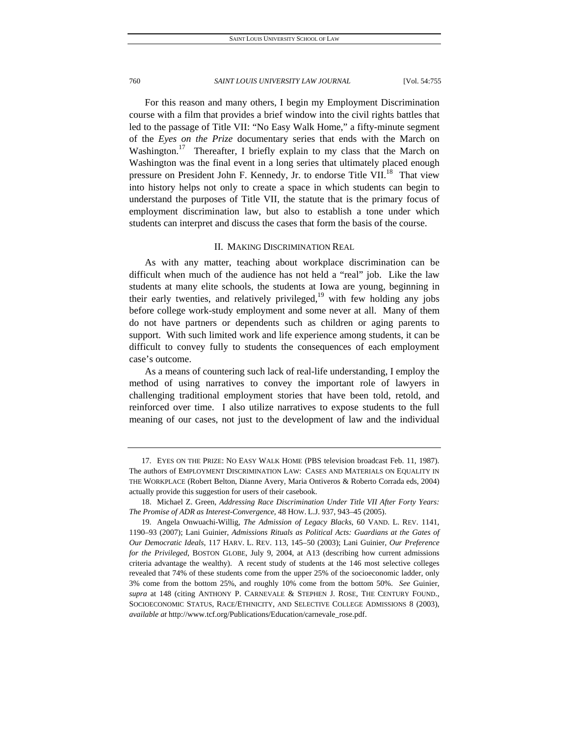For this reason and many others, I begin my Employment Discrimination course with a film that provides a brief window into the civil rights battles that led to the passage of Title VII: "No Easy Walk Home," a fifty-minute segment of the *Eyes on the Prize* documentary series that ends with the March on Washington.<sup>17</sup> Thereafter, I briefly explain to my class that the March on Washington was the final event in a long series that ultimately placed enough pressure on President John F. Kennedy, Jr. to endorse Title VII.<sup>18</sup> That view into history helps not only to create a space in which students can begin to understand the purposes of Title VII, the statute that is the primary focus of employment discrimination law, but also to establish a tone under which students can interpret and discuss the cases that form the basis of the course.

# II. MAKING DISCRIMINATION REAL

As with any matter, teaching about workplace discrimination can be difficult when much of the audience has not held a "real" job. Like the law students at many elite schools, the students at Iowa are young, beginning in their early twenties, and relatively privileged,<sup>19</sup> with few holding any jobs before college work-study employment and some never at all. Many of them do not have partners or dependents such as children or aging parents to support. With such limited work and life experience among students, it can be difficult to convey fully to students the consequences of each employment case's outcome.

As a means of countering such lack of real-life understanding, I employ the method of using narratives to convey the important role of lawyers in challenging traditional employment stories that have been told, retold, and reinforced over time. I also utilize narratives to expose students to the full meaning of our cases, not just to the development of law and the individual

 <sup>17.</sup> EYES ON THE PRIZE: NO EASY WALK HOME (PBS television broadcast Feb. 11, 1987). The authors of EMPLOYMENT DISCRIMINATION LAW: CASES AND MATERIALS ON EQUALITY IN THE WORKPLACE (Robert Belton, Dianne Avery, Maria Ontiveros & Roberto Corrada eds, 2004) actually provide this suggestion for users of their casebook.

 <sup>18.</sup> Michael Z. Green, *Addressing Race Discrimination Under Title VII After Forty Years: The Promise of ADR as Interest-Convergence*, 48 HOW. L.J. 937, 943–45 (2005).

 <sup>19.</sup> Angela Onwuachi-Willig, *The Admission of Legacy Blacks*, 60 VAND. L. REV. 1141, 1190–93 (2007); Lani Guinier, *Admissions Rituals as Political Acts: Guardians at the Gates of Our Democratic Ideals*, 117 HARV. L. REV. 113, 145–50 (2003); Lani Guinier, *Our Preference for the Privileged*, BOSTON GLOBE, July 9, 2004, at A13 (describing how current admissions criteria advantage the wealthy). A recent study of students at the 146 most selective colleges revealed that 74% of these students come from the upper 25% of the socioeconomic ladder, only 3% come from the bottom 25%, and roughly 10% come from the bottom 50%. *See* Guinier, *supra* at 148 (citing ANTHONY P. CARNEVALE & STEPHEN J. ROSE, THE CENTURY FOUND., SOCIOECONOMIC STATUS, RACE/ETHNICITY, AND SELECTIVE COLLEGE ADMISSIONS 8 (2003), *available at* http://www.tcf.org/Publications/Education/carnevale\_rose.pdf.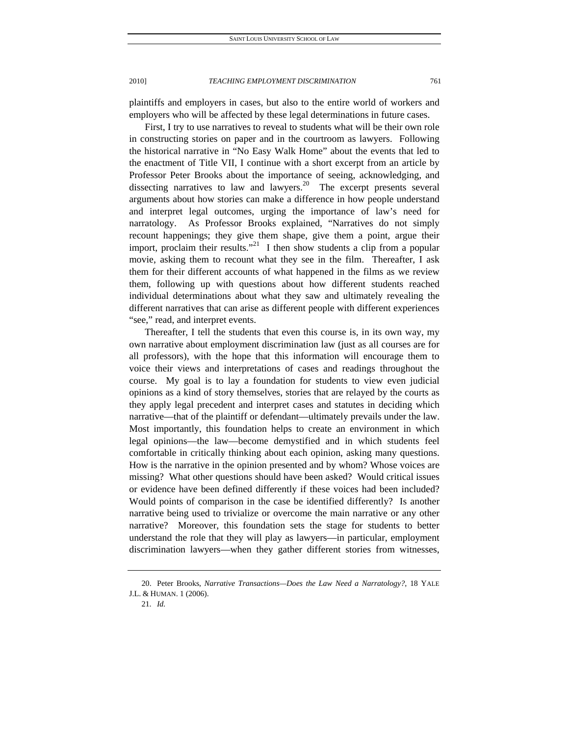plaintiffs and employers in cases, but also to the entire world of workers and employers who will be affected by these legal determinations in future cases.

First, I try to use narratives to reveal to students what will be their own role in constructing stories on paper and in the courtroom as lawyers. Following the historical narrative in "No Easy Walk Home" about the events that led to the enactment of Title VII, I continue with a short excerpt from an article by Professor Peter Brooks about the importance of seeing, acknowledging, and dissecting narratives to law and lawyers.<sup>20</sup> The excerpt presents several arguments about how stories can make a difference in how people understand and interpret legal outcomes, urging the importance of law's need for narratology. As Professor Brooks explained, "Narratives do not simply recount happenings; they give them shape, give them a point, argue their import, proclaim their results."<sup>21</sup> I then show students a clip from a popular movie, asking them to recount what they see in the film. Thereafter, I ask them for their different accounts of what happened in the films as we review them, following up with questions about how different students reached individual determinations about what they saw and ultimately revealing the different narratives that can arise as different people with different experiences "see," read, and interpret events.

Thereafter, I tell the students that even this course is, in its own way, my own narrative about employment discrimination law (just as all courses are for all professors), with the hope that this information will encourage them to voice their views and interpretations of cases and readings throughout the course. My goal is to lay a foundation for students to view even judicial opinions as a kind of story themselves, stories that are relayed by the courts as they apply legal precedent and interpret cases and statutes in deciding which narrative—that of the plaintiff or defendant—ultimately prevails under the law. Most importantly, this foundation helps to create an environment in which legal opinions—the law—become demystified and in which students feel comfortable in critically thinking about each opinion, asking many questions. How is the narrative in the opinion presented and by whom? Whose voices are missing? What other questions should have been asked? Would critical issues or evidence have been defined differently if these voices had been included? Would points of comparison in the case be identified differently? Is another narrative being used to trivialize or overcome the main narrative or any other narrative? Moreover, this foundation sets the stage for students to better understand the role that they will play as lawyers—in particular, employment discrimination lawyers—when they gather different stories from witnesses,

 <sup>20.</sup> Peter Brooks, *Narrative Transactions—Does the Law Need a Narratology?*, 18 YALE J.L. & HUMAN. 1 (2006).

 <sup>21.</sup> *Id.*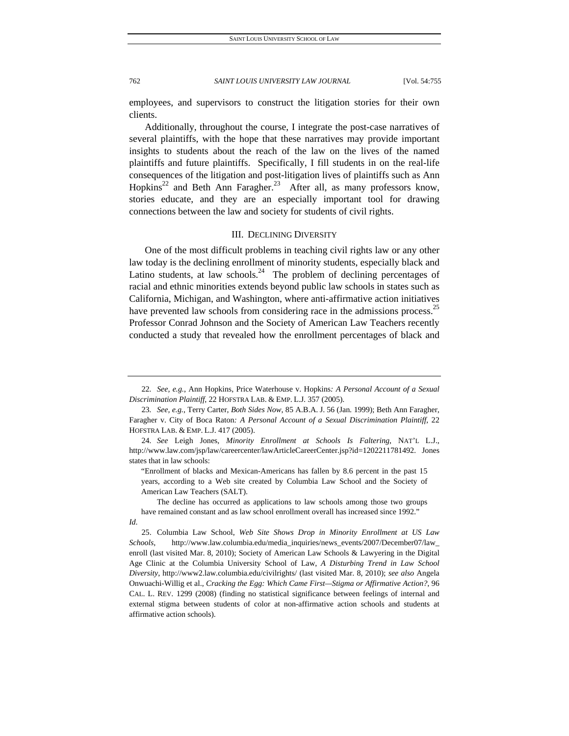employees, and supervisors to construct the litigation stories for their own clients.

Additionally, throughout the course, I integrate the post-case narratives of several plaintiffs, with the hope that these narratives may provide important insights to students about the reach of the law on the lives of the named plaintiffs and future plaintiffs. Specifically, I fill students in on the real-life consequences of the litigation and post-litigation lives of plaintiffs such as Ann Hopkins<sup>22</sup> and Beth Ann Faragher.<sup>23</sup> After all, as many professors know, stories educate, and they are an especially important tool for drawing connections between the law and society for students of civil rights.

#### III. DECLINING DIVERSITY

One of the most difficult problems in teaching civil rights law or any other law today is the declining enrollment of minority students, especially black and Latino students, at law schools.<sup>24</sup> The problem of declining percentages of racial and ethnic minorities extends beyond public law schools in states such as California, Michigan, and Washington, where anti-affirmative action initiatives have prevented law schools from considering race in the admissions process.<sup>25</sup> Professor Conrad Johnson and the Society of American Law Teachers recently conducted a study that revealed how the enrollment percentages of black and

"Enrollment of blacks and Mexican-Americans has fallen by 8.6 percent in the past 15 years, according to a Web site created by Columbia Law School and the Society of American Law Teachers (SALT).

 The decline has occurred as applications to law schools among those two groups have remained constant and as law school enrollment overall has increased since 1992."

<sup>22</sup>*. See, e.g.*, Ann Hopkins, Price Waterhouse v. Hopkins*: A Personal Account of a Sexual Discrimination Plaintiff*, 22 HOFSTRA LAB. & EMP. L.J. 357 (2005).

<sup>23</sup>*. See, e.g.*, Terry Carter, *Both Sides Now*, 85 A.B.A. J. 56 (Jan. 1999); Beth Ann Faragher, Faragher v. City of Boca Raton*: A Personal Account of a Sexual Discrimination Plaintiff*, 22 HOFSTRA LAB. & EMP. L.J. 417 (2005).

<sup>24</sup>*. See* Leigh Jones*, Minority Enrollment at Schools Is Faltering*, NAT'L L.J., http://www.law.com/jsp/law/careercenter/lawArticleCareerCenter.jsp?id=1202211781492. Jones states that in law schools:

*Id*.

 <sup>25.</sup> Columbia Law School, *Web Site Shows Drop in Minority Enrollment at US Law Schools*, http://www.law.columbia.edu/media\_inquiries/news\_events/2007/December07/law\_ enroll (last visited Mar. 8, 2010); Society of American Law Schools & Lawyering in the Digital Age Clinic at the Columbia University School of Law, *A Disturbing Trend in Law School Diversity*, http://www2.law.columbia.edu/civilrights/ (last visited Mar. 8, 2010); *see also* Angela Onwuachi-Willig et al., *Cracking the Egg: Which Came First—Stigma or Affirmative Action?*, 96 CAL. L. REV. 1299 (2008) (finding no statistical significance between feelings of internal and external stigma between students of color at non-affirmative action schools and students at affirmative action schools).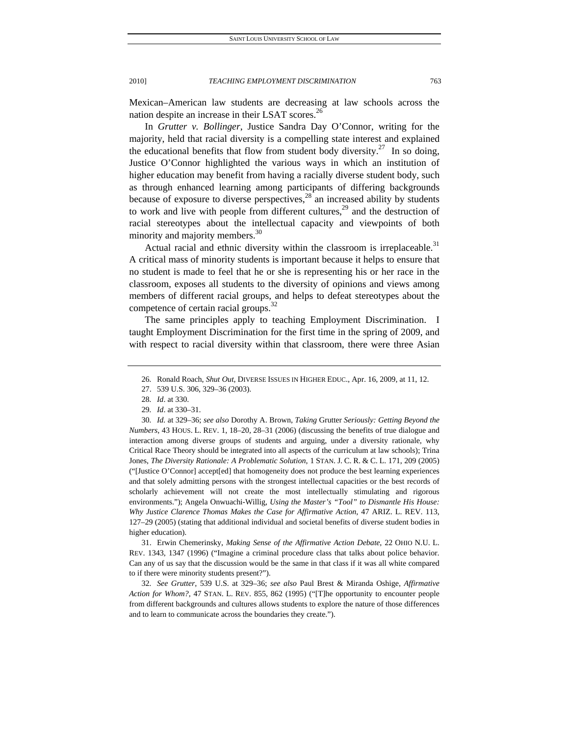Mexican–American law students are decreasing at law schools across the nation despite an increase in their LSAT scores.<sup>26</sup>

In *Grutter v. Bollinger*, Justice Sandra Day O'Connor, writing for the majority, held that racial diversity is a compelling state interest and explained the educational benefits that flow from student body diversity.<sup>27</sup> In so doing, Justice O'Connor highlighted the various ways in which an institution of higher education may benefit from having a racially diverse student body, such as through enhanced learning among participants of differing backgrounds because of exposure to diverse perspectives, $^{28}$  an increased ability by students to work and live with people from different cultures, $29$  and the destruction of racial stereotypes about the intellectual capacity and viewpoints of both minority and majority members.<sup>30</sup>

Actual racial and ethnic diversity within the classroom is irreplaceable.<sup>31</sup> A critical mass of minority students is important because it helps to ensure that no student is made to feel that he or she is representing his or her race in the classroom, exposes all students to the diversity of opinions and views among members of different racial groups, and helps to defeat stereotypes about the competence of certain racial groups.<sup>32</sup>

The same principles apply to teaching Employment Discrimination. I taught Employment Discrimination for the first time in the spring of 2009, and with respect to racial diversity within that classroom, there were three Asian

 31. Erwin Chemerinsky, *Making Sense of the Affirmative Action Debate*, 22 OHIO N.U. L. REV. 1343, 1347 (1996) ("Imagine a criminal procedure class that talks about police behavior. Can any of us say that the discussion would be the same in that class if it was all white compared to if there were minority students present?").

32*. See Grutter*, 539 U.S. at 329–36; *see also* Paul Brest & Miranda Oshige, *Affirmative Action for Whom?*, 47 STAN. L. REV. 855, 862 (1995) ("[T]he opportunity to encounter people from different backgrounds and cultures allows students to explore the nature of those differences and to learn to communicate across the boundaries they create.").

<sup>26</sup>*.* Ronald Roach, *Shut Out*, DIVERSE ISSUES IN HIGHER EDUC., Apr. 16, 2009, at 11, 12.

 <sup>27. 539</sup> U.S. 306, 329–36 (2003).

<sup>28</sup>*. Id*. at 330.

<sup>29</sup>*. Id*. at 330–31.

<sup>30</sup>*. Id.* at 329–36; *see also* Dorothy A. Brown, *Taking* Grutter *Seriously: Getting Beyond the Numbers*, 43 HOUS. L. REV. 1, 18–20, 28–31 (2006) (discussing the benefits of true dialogue and interaction among diverse groups of students and arguing, under a diversity rationale, why Critical Race Theory should be integrated into all aspects of the curriculum at law schools); Trina Jones, *The Diversity Rationale: A Problematic Solution*, 1 STAN. J. C. R. & C. L. 171, 209 (2005) ("[Justice O'Connor] accept[ed] that homogeneity does not produce the best learning experiences and that solely admitting persons with the strongest intellectual capacities or the best records of scholarly achievement will not create the most intellectually stimulating and rigorous environments."); Angela Onwuachi-Willig, *Using the Master's "Tool" to Dismantle His House: Why Justice Clarence Thomas Makes the Case for Affirmative Action*, 47 ARIZ. L. REV. 113, 127–29 (2005) (stating that additional individual and societal benefits of diverse student bodies in higher education).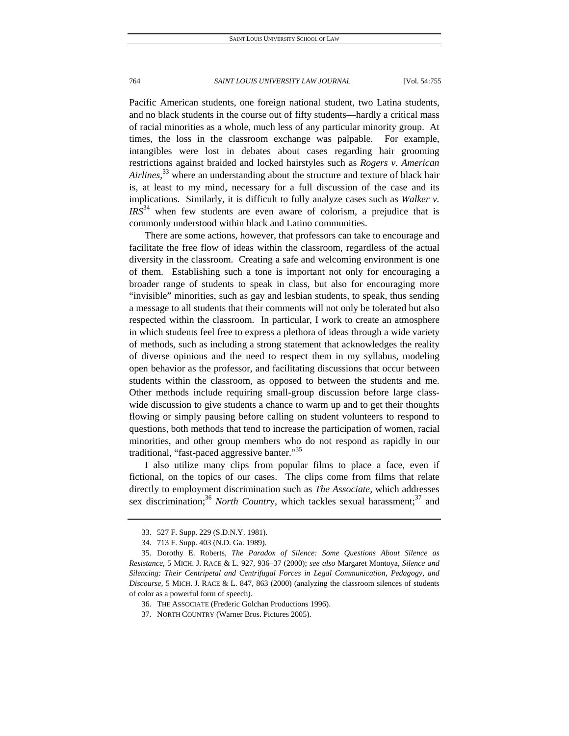Pacific American students, one foreign national student, two Latina students, and no black students in the course out of fifty students—hardly a critical mass of racial minorities as a whole, much less of any particular minority group. At times, the loss in the classroom exchange was palpable. For example, intangibles were lost in debates about cases regarding hair grooming restrictions against braided and locked hairstyles such as *Rogers v. American Airlines*, 33 where an understanding about the structure and texture of black hair is, at least to my mind, necessary for a full discussion of the case and its implications. Similarly, it is difficult to fully analyze cases such as *Walker v. IRS*34 when few students are even aware of colorism, a prejudice that is commonly understood within black and Latino communities.

There are some actions, however, that professors can take to encourage and facilitate the free flow of ideas within the classroom, regardless of the actual diversity in the classroom. Creating a safe and welcoming environment is one of them. Establishing such a tone is important not only for encouraging a broader range of students to speak in class, but also for encouraging more "invisible" minorities, such as gay and lesbian students, to speak, thus sending a message to all students that their comments will not only be tolerated but also respected within the classroom. In particular, I work to create an atmosphere in which students feel free to express a plethora of ideas through a wide variety of methods, such as including a strong statement that acknowledges the reality of diverse opinions and the need to respect them in my syllabus, modeling open behavior as the professor, and facilitating discussions that occur between students within the classroom, as opposed to between the students and me. Other methods include requiring small-group discussion before large classwide discussion to give students a chance to warm up and to get their thoughts flowing or simply pausing before calling on student volunteers to respond to questions, both methods that tend to increase the participation of women, racial minorities, and other group members who do not respond as rapidly in our traditional, "fast-paced aggressive banter."<sup>35</sup>

I also utilize many clips from popular films to place a face, even if fictional, on the topics of our cases. The clips come from films that relate directly to employment discrimination such as *The Associate*, which addresses sex discrimination;<sup>36</sup> *North Country*, which tackles sexual harassment;<sup>37</sup> and

37. NORTH COUNTRY (Warner Bros. Pictures 2005).

 <sup>33. 527</sup> F. Supp. 229 (S.D.N.Y. 1981).

 <sup>34. 713</sup> F. Supp. 403 (N.D. Ga. 1989).

 <sup>35.</sup> Dorothy E. Roberts, *The Paradox of Silence: Some Questions About Silence as Resistance*, 5 MICH. J. RACE & L. 927, 936–37 (2000); *see also* Margaret Montoya, *Silence and Silencing: Their Centripetal and Centrifugal Forces in Legal Communication, Pedagogy, and Discourse*, 5 MICH. J. RACE & L. 847, 863 (2000) (analyzing the classroom silences of students of color as a powerful form of speech).

 <sup>36.</sup> THE ASSOCIATE (Frederic Golchan Productions 1996).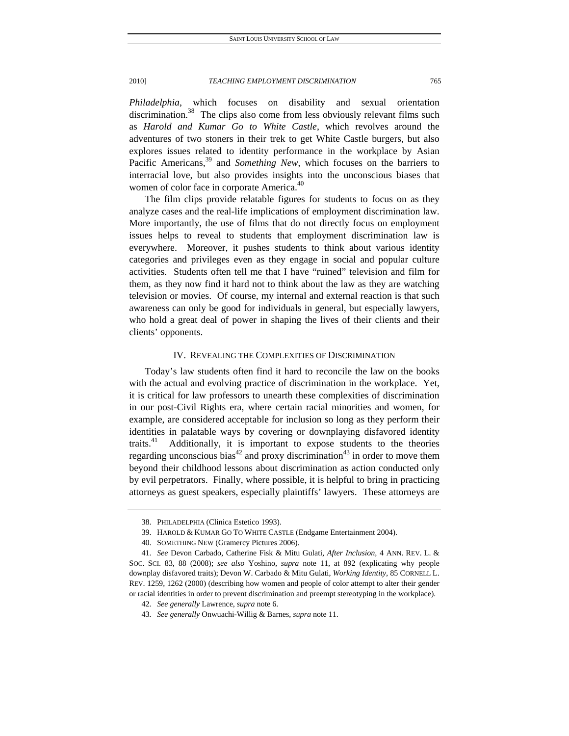*Philadelphia*, which focuses on disability and sexual orientation discrimination.<sup>38</sup> The clips also come from less obviously relevant films such as *Harold and Kumar Go to White Castle*, which revolves around the adventures of two stoners in their trek to get White Castle burgers, but also explores issues related to identity performance in the workplace by Asian Pacific Americans,<sup>39</sup> and *Something New*, which focuses on the barriers to interracial love, but also provides insights into the unconscious biases that women of color face in corporate America.<sup>40</sup>

The film clips provide relatable figures for students to focus on as they analyze cases and the real-life implications of employment discrimination law. More importantly, the use of films that do not directly focus on employment issues helps to reveal to students that employment discrimination law is everywhere. Moreover, it pushes students to think about various identity categories and privileges even as they engage in social and popular culture activities. Students often tell me that I have "ruined" television and film for them, as they now find it hard not to think about the law as they are watching television or movies. Of course, my internal and external reaction is that such awareness can only be good for individuals in general, but especially lawyers, who hold a great deal of power in shaping the lives of their clients and their clients' opponents.

# IV. REVEALING THE COMPLEXITIES OF DISCRIMINATION

Today's law students often find it hard to reconcile the law on the books with the actual and evolving practice of discrimination in the workplace. Yet, it is critical for law professors to unearth these complexities of discrimination in our post-Civil Rights era, where certain racial minorities and women, for example, are considered acceptable for inclusion so long as they perform their identities in palatable ways by covering or downplaying disfavored identity traits.<sup>41</sup> Additionally, it is important to expose students to the theories regarding unconscious bias<sup>42</sup> and proxy discrimination<sup>43</sup> in order to move them beyond their childhood lessons about discrimination as action conducted only by evil perpetrators. Finally, where possible, it is helpful to bring in practicing attorneys as guest speakers, especially plaintiffs' lawyers. These attorneys are

 <sup>38.</sup> PHILADELPHIA (Clinica Estetico 1993).

 <sup>39.</sup> HAROLD & KUMAR GO TO WHITE CASTLE (Endgame Entertainment 2004).

 <sup>40.</sup> SOMETHING NEW (Gramercy Pictures 2006).

<sup>41</sup>*. See* Devon Carbado, Catherine Fisk & Mitu Gulati, *After Inclusion*, 4 ANN. REV. L. & SOC. SCI. 83, 88 (2008); *see also* Yoshino, *supra* note 11, at 892 (explicating why people downplay disfavored traits); Devon W. Carbado & Mitu Gulati, *Working Identity*, 85 CORNELL L. REV. 1259, 1262 (2000) (describing how women and people of color attempt to alter their gender or racial identities in order to prevent discrimination and preempt stereotyping in the workplace).

<sup>42</sup>*. See generally* Lawrence, *supra* note 6.

<sup>43</sup>*. See generally* Onwuachi-Willig & Barnes, *supra* note 11.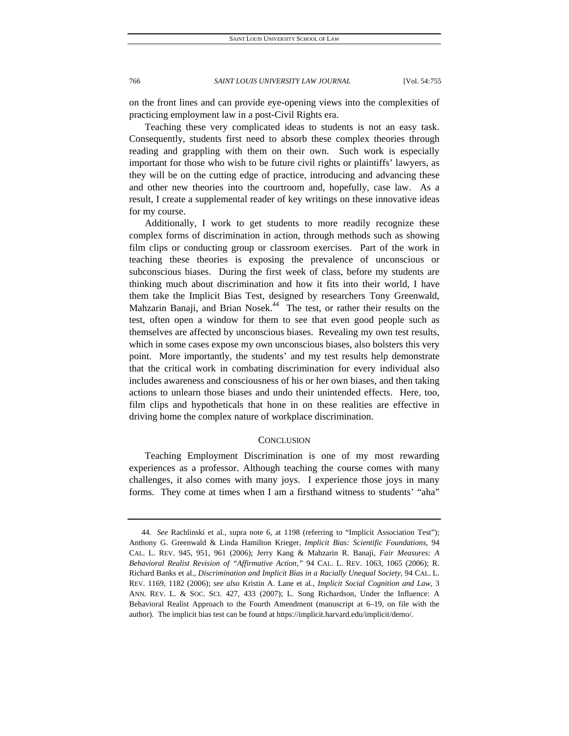on the front lines and can provide eye-opening views into the complexities of practicing employment law in a post-Civil Rights era.

Teaching these very complicated ideas to students is not an easy task. Consequently, students first need to absorb these complex theories through reading and grappling with them on their own. Such work is especially important for those who wish to be future civil rights or plaintiffs' lawyers, as they will be on the cutting edge of practice, introducing and advancing these and other new theories into the courtroom and, hopefully, case law. As a result, I create a supplemental reader of key writings on these innovative ideas for my course.

Additionally, I work to get students to more readily recognize these complex forms of discrimination in action, through methods such as showing film clips or conducting group or classroom exercises. Part of the work in teaching these theories is exposing the prevalence of unconscious or subconscious biases. During the first week of class, before my students are thinking much about discrimination and how it fits into their world, I have them take the Implicit Bias Test, designed by researchers Tony Greenwald, Mahzarin Banaji, and Brian Nosek.<sup>44</sup> The test, or rather their results on the test, often open a window for them to see that even good people such as themselves are affected by unconscious biases. Revealing my own test results, which in some cases expose my own unconscious biases, also bolsters this very point. More importantly, the students' and my test results help demonstrate that the critical work in combating discrimination for every individual also includes awareness and consciousness of his or her own biases, and then taking actions to unlearn those biases and undo their unintended effects. Here, too, film clips and hypotheticals that hone in on these realities are effective in driving home the complex nature of workplace discrimination.

# **CONCLUSION**

Teaching Employment Discrimination is one of my most rewarding experiences as a professor. Although teaching the course comes with many challenges, it also comes with many joys. I experience those joys in many forms. They come at times when I am a firsthand witness to students' "aha"

<sup>44</sup>*. See* Rachlinski et al., supra note 6, at 1198 (referring to "Implicit Association Test"); Anthony G. Greenwald & Linda Hamilton Krieger, *Implicit Bias: Scientific Foundations*, 94 CAL. L. REV. 945, 951, 961 (2006); Jerry Kang & Mahzarin R. Banaji, *Fair Measures: A Behavioral Realist Revision of "Affirmative Action*,*"* 94 CAL. L. REV. 1063, 1065 (2006); R. Richard Banks et al., *Discrimination and Implicit Bias in a Racially Unequal Society*, 94 CAL. L. REV. 1169, 1182 (2006); *see also* Kristin A. Lane et al., *Implicit Social Cognition and Law*, 3 ANN. REV. L. & SOC. SCI. 427, 433 (2007); L. Song Richardson, Under the Influence: A Behavioral Realist Approach to the Fourth Amendment (manuscript at 6–19, on file with the author). The implicit bias test can be found at https://implicit.harvard.edu/implicit/demo/.